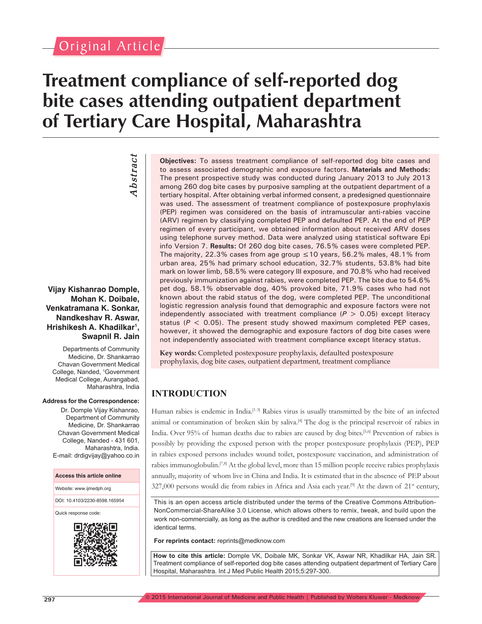# Original Article

*Abstract*

*Abstract* 

# **Treatment compliance of self-reported dog bite cases attending outpatient department of Tertiary Care Hospital, Maharashtra**

**Vijay Kishanrao Domple, Mohan K. Doibale, Venkatramana K. Sonkar,** 

**Nandkeshav R. Aswar, Hrishikesh A. Khadilkar1 , Swapnil R. Jain**

Departments of Community Medicine, Dr. Shankarrao Chavan Government Medical College, Nanded, <sup>1</sup> Government Medical College, Aurangabad, Maharashtra, India

#### **Address for the Correspondence:**

Dr. Domple Vijay Kishanrao, Department of Community Medicine, Dr. Shankarrao Chavan Government Medical College, Nanded - 431 601, Maharashtra, India. E-mail: drdigvijay@yahoo.co.in

**Access this article online**

Website: www.ijmedph.org

DOI: 10.4103/2230-8598.165954

Quick response code:



**Objectives:** To assess treatment compliance of self-reported dog bite cases and to assess associated demographic and exposure factors. **Materials and Methods:** The present prospective study was conducted during January 2013 to July 2013 among 260 dog bite cases by purposive sampling at the outpatient department of a tertiary hospital. After obtaining verbal informed consent, a predesigned questionnaire was used. The assessment of treatment compliance of postexposure prophylaxis (PEP) regimen was considered on the basis of intramuscular anti-rabies vaccine (ARV) regimen by classifying completed PEP and defaulted PEP. At the end of PEP regimen of every participant, we obtained information about received ARV doses using telephone survey method. Data were analyzed using statistical software Epi info Version 7. **Results:** Of 260 dog bite cases, 76.5% cases were completed PEP. The majority, 22.3% cases from age group  $\leq$  10 years, 56.2% males, 48.1% from urban area, 25% had primary school education, 32.7% students, 53.8% had bite mark on lower limb, 58.5% were category III exposure, and 70.8% who had received previously immunization against rabies, were completed PEP. The bite due to 54.6% pet dog, 58.1% observable dog, 40% provoked bite, 71.9% cases who had not known about the rabid status of the dog, were completed PEP. The unconditional logistic regression analysis found that demographic and exposure factors were not independently associated with treatment compliance  $(P > 0.05)$  except literacy status ( $P < 0.05$ ). The present study showed maximum completed PEP cases, however, it showed the demographic and exposure factors of dog bite cases were not independently associated with treatment compliance except literacy status.

**Key words:** Completed postexposure prophylaxis, defaulted postexposure prophylaxis, dog bite cases, outpatient department, treatment compliance

## **INTRODUCTION**

Human rabies is endemic in India.[1-3] Rabies virus is usually transmitted by the bite of an infected animal or contamination of broken skin by saliva.<sup>[4]</sup> The dog is the principal reservoir of rabies in India. Over 95% of human deaths due to rabies are caused by dog bites.[5,6] Prevention of rabies is possibly by providing the exposed person with the proper postexposure prophylaxis (PEP), PEP in rabies exposed persons includes wound toilet, postexposure vaccination, and administration of rabies immunoglobulin.<sup>[7,8]</sup> At the global level, more than 15 million people receive rabies prophylaxis annually, majority of whom live in China and India. It is estimated that in the absence of PEP about 327,000 persons would die from rabies in Africa and Asia each year.<sup>[9]</sup> At the dawn of  $21<sup>st</sup>$  century,

This is an open access article distributed under the terms of the Creative Commons Attribution-NonCommercial-ShareAlike 3.0 License, which allows others to remix, tweak, and build upon the work non-commercially, as long as the author is credited and the new creations are licensed under the identical terms.

**For reprints contact:** reprints@medknow.com

**How to cite this article:** Domple VK, Doibale MK, Sonkar VK, Aswar NR, Khadilkar HA, Jain SR. Treatment compliance of self-reported dog bite cases attending outpatient department of Tertiary Care Hospital, Maharashtra. Int J Med Public Health 2015;5:297-300.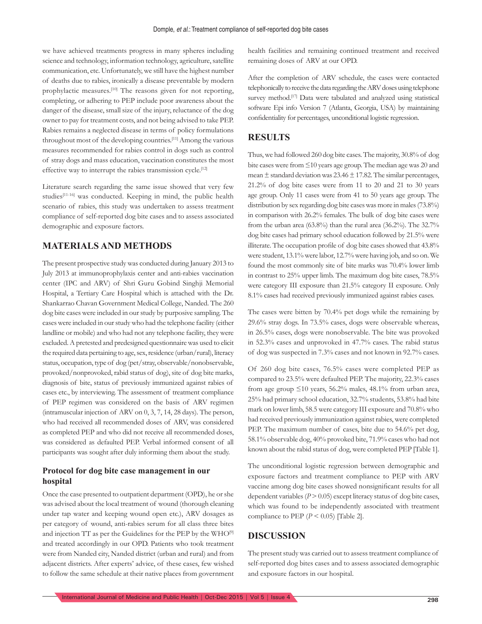we have achieved treatments progress in many spheres including science and technology, information technology, agriculture, satellite communication, etc. Unfortunately, we still have the highest number of deaths due to rabies, ironically a disease preventable by modern prophylactic measures.<sup>[10]</sup> The reasons given for not reporting, completing, or adhering to PEP include poor awareness about the danger of the disease, small size of the injury, reluctance of the dog owner to pay for treatment costs, and not being advised to take PEP. Rabies remains a neglected disease in terms of policy formulations throughout most of the developing countries.[11] Among the various measures recommended for rabies control in dogs such as control of stray dogs and mass education, vaccination constitutes the most effective way to interrupt the rabies transmission cycle.[12]

Literature search regarding the same issue showed that very few studies<sup>[11-16]</sup> was conducted. Keeping in mind, the public health scenario of rabies, this study was undertaken to assess treatment compliance of self-reported dog bite cases and to assess associated demographic and exposure factors.

#### **MATERIALS AND METHODS**

The present prospective study was conducted during January 2013 to July 2013 at immunoprophylaxis center and anti-rabies vaccination center (IPC and ARV) of Shri Guru Gobind Singhji Memorial Hospital, a Tertiary Care Hospital which is attached with the Dr. Shankarrao Chavan Government Medical College, Nanded. The 260 dog bite cases were included in our study by purposive sampling. The cases were included in our study who had the telephone facility (either landline or mobile) and who had not any telephone facility, they were excluded. A pretested and predesigned questionnaire was used to elicit the required data pertaining to age, sex, residence (urban/rural), literacy status, occupation, type of dog (pet/stray, observable/nonobservable, provoked/nonprovoked, rabid status of dog), site of dog bite marks, diagnosis of bite, status of previously immunized against rabies of cases etc., by interviewing. The assessment of treatment compliance of PEP regimen was considered on the basis of ARV regimen (intramuscular injection of ARV on 0, 3, 7, 14, 28 days). The person, who had received all recommended doses of ARV, was considered as completed PEP and who did not receive all recommended doses, was considered as defaulted PEP. Verbal informed consent of all participants was sought after duly informing them about the study.

#### **Protocol for dog bite case management in our hospital**

Once the case presented to outpatient department (OPD), he or she was advised about the local treatment of wound (thorough cleaning under tap water and keeping wound open etc.), ARV dosages as per category of wound, anti-rabies serum for all class three bites and injection TT as per the Guidelines for the PEP by the WHO[9] and treated accordingly in our OPD. Patients who took treatment were from Nanded city, Nanded district (urban and rural) and from adjacent districts. After experts' advice, of these cases, few wished to follow the same schedule at their native places from government

health facilities and remaining continued treatment and received remaining doses of ARV at our OPD.

After the completion of ARV schedule, the cases were contacted telephonically to receive the data regarding the ARV doses using telephone survey method.<sup>[17]</sup> Data were tabulated and analyzed using statistical software Epi info Version 7 (Atlanta, Georgia, USA) by maintaining confidentiality for percentages, unconditional logistic regression.

#### **RESULTS**

Thus, we had followed 260 dog bite cases. The majority, 30.8% of dog bite cases were from ≤10 years age group. The median age was 20 and mean  $\pm$  standard deviation was 23.46  $\pm$  17.82. The similar percentages, 21.2% of dog bite cases were from 11 to 20 and 21 to 30 years age group. Only 11 cases were from 41 to 50 years age group. The distribution by sex regarding dog bite cases was more in males (73.8%) in comparison with 26.2% females. The bulk of dog bite cases were from the urban area (63.8%) than the rural area (36.2%). The 32.7% dog bite cases had primary school education followed by 21.5% were illiterate. The occupation profile of dog bite cases showed that 43.8% were student, 13.1% were labor, 12.7% were having job, and so on. We found the most commonly site of bite marks was 70.4% lower limb in contrast to 25% upper limb. The maximum dog bite cases, 78.5% were category III exposure than 21.5% category II exposure. Only 8.1% cases had received previously immunized against rabies cases.

The cases were bitten by 70.4% pet dogs while the remaining by 29.6% stray dogs. In 73.5% cases, dogs were observable whereas, in 26.5% cases, dogs were nonobservable. The bite was provoked in 52.3% cases and unprovoked in 47.7% cases. The rabid status of dog was suspected in 7.3% cases and not known in 92.7% cases.

Of 260 dog bite cases, 76.5% cases were completed PEP as compared to 23.5% were defaulted PEP. The majority, 22.3% cases from age group  $\leq 10$  years, 56.2% males, 48.1% from urban area, 25% had primary school education, 32.7% students, 53.8% had bite mark on lower limb, 58.5 were category III exposure and 70.8% who had received previously immunization against rabies, were completed PEP. The maximum number of cases, bite due to 54.6% pet dog, 58.1% observable dog, 40% provoked bite, 71.9% cases who had not known about the rabid status of dog, were completed PEP [Table 1].

The unconditional logistic regression between demographic and exposure factors and treatment compliance to PEP with ARV vaccine among dog bite cases showed nonsignificant results for all dependent variables (*P* > 0.05) except literacy status of dog bite cases, which was found to be independently associated with treatment compliance to PEP  $(P < 0.05)$  [Table 2].

#### **DISCUSSION**

The present study was carried out to assess treatment compliance of self-reported dog bites cases and to assess associated demographic and exposure factors in our hospital.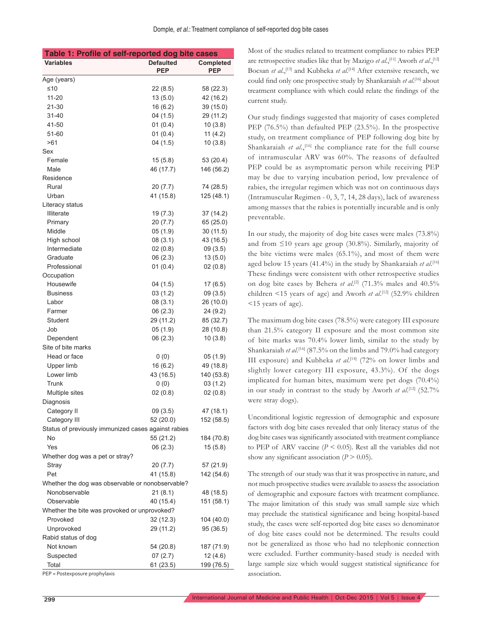| Table 1: Profile of self-reported dog bite cases    |                                |                         |  |  |  |
|-----------------------------------------------------|--------------------------------|-------------------------|--|--|--|
| <b>Variables</b>                                    | <b>Defaulted</b><br><b>PEP</b> | Completed<br><b>PEP</b> |  |  |  |
| Age (years)                                         |                                |                         |  |  |  |
| $\leq 10$                                           | 22(8.5)                        | 58 (22.3)               |  |  |  |
| $11 - 20$                                           | 13(5.0)                        | 42 (16.2)               |  |  |  |
| 21-30                                               | 16(6.2)                        | 39 (15.0)               |  |  |  |
| 31-40                                               | 04(1.5)                        | 29 (11.2)               |  |  |  |
| 41-50                                               | 01(0.4)                        | 10(3.8)                 |  |  |  |
| 51-60                                               | 01(0.4)                        | 11 $(4.2)$              |  |  |  |
| >61                                                 | 04(1.5)                        | 10(3.8)                 |  |  |  |
| Sex                                                 |                                |                         |  |  |  |
| Female                                              | 15(5.8)                        | 53 (20.4)               |  |  |  |
| Male                                                | 46 (17.7)                      | 146 (56.2)              |  |  |  |
| Residence                                           |                                |                         |  |  |  |
| Rural                                               | 20(7.7)                        | 74 (28.5)               |  |  |  |
| Urban                                               | 41 (15.8)                      | 125 (48.1)              |  |  |  |
| Literacy status                                     |                                |                         |  |  |  |
| Illiterate                                          | 19 (7.3)                       | 37 (14.2)               |  |  |  |
| Primary                                             | 20 (7.7)                       | 65 (25.0)               |  |  |  |
| Middle                                              | 05(1.9)                        | 30(11.5)                |  |  |  |
| High school                                         | 08(3.1)                        | 43 (16.5)               |  |  |  |
| Intermediate                                        | 02(0.8)                        | 09(3.5)                 |  |  |  |
| Graduate                                            | 06(2.3)                        | 13(5.0)                 |  |  |  |
| Professional                                        | 01(0.4)                        | 02(0.8)                 |  |  |  |
| Occupation                                          |                                |                         |  |  |  |
| Housewife                                           | 04(1.5)                        | 17(6.5)                 |  |  |  |
| <b>Business</b>                                     | 03(1.2)                        | 09(3.5)                 |  |  |  |
| Labor                                               | 08(3.1)                        | 26 (10.0)               |  |  |  |
| Farmer                                              | 06(2.3)                        | 24 (9.2)                |  |  |  |
| Student                                             | 29 (11.2)                      | 85 (32.7)               |  |  |  |
| Job                                                 | 05(1.9)                        | 28 (10.8)               |  |  |  |
| Dependent                                           | 06(2.3)                        | 10(3.8)                 |  |  |  |
| Site of bite marks                                  |                                |                         |  |  |  |
| Head or face                                        | 0(0)                           | 05 (1.9)                |  |  |  |
| Upper limb                                          | 16 (6.2)                       | 49 (18.8)               |  |  |  |
| Lower limb                                          | 43 (16.5)                      | 140 (53.8)              |  |  |  |
| Trunk                                               | 0(0)                           | 03(1.2)                 |  |  |  |
| Multiple sites                                      | 02(0.8)                        | 02(0.8)                 |  |  |  |
| Diagnosis                                           |                                |                         |  |  |  |
| Category II                                         | 09(3.5)                        | 47 (18.1)               |  |  |  |
| Category III                                        | 52 (20.0)                      | 152 (58.5)              |  |  |  |
| Status of previously immunized cases against rabies |                                |                         |  |  |  |
| No                                                  | 55 (21.2)                      | 184 (70.8)              |  |  |  |
| Yes                                                 | 06(2.3)                        | 15(5.8)                 |  |  |  |
| Whether dog was a pet or stray?                     |                                |                         |  |  |  |
| Stray                                               | 20(7.7)                        | 57 (21.9)               |  |  |  |
| Pet                                                 | 41 (15.8)                      | 142 (54.6)              |  |  |  |
| Whether the dog was observable or nonobservable?    |                                |                         |  |  |  |
| Nonobservable                                       | 21(8.1)                        | 48 (18.5)               |  |  |  |
| Observable                                          | 40 (15.4)                      | 151 (58.1)              |  |  |  |
| Whether the bite was provoked or unprovoked?        |                                |                         |  |  |  |
| Provoked                                            | 32(12.3)                       | 104 (40.0)              |  |  |  |
| Unprovoked                                          | 29 (11.2)                      | 95 (36.5)               |  |  |  |
| Rabid status of dog                                 |                                |                         |  |  |  |
| Not known                                           | 54 (20.8)                      | 187 (71.9)              |  |  |  |
| Suspected                                           | 07(2.7)                        | 12(4.6)                 |  |  |  |
| Total                                               | 61 (23.5)                      | 199 (76.5)              |  |  |  |
|                                                     |                                |                         |  |  |  |

PEP = Postexposure prophylaxis

Most of the studies related to treatment compliance to rabies PEP are retrospective studies like that by Mazigo *et al*.,[11] Aworh *et al*.,[12] Bocsan *et al.*,<sup>[13]</sup> and Kubheka *et al.*<sup>[14]</sup> After extensive research, we could find only one prospective study by Shankaraiah *et al*. [16] about treatment compliance with which could relate the findings of the current study.

Our study findings suggested that majority of cases completed PEP (76.5%) than defaulted PEP (23.5%). In the prospective study, on treatment compliance of PEP following dog bite by Shankaraiah *et al.*,<sup>[16]</sup> the compliance rate for the full course of intramuscular ARV was 60%. The reasons of defaulted PEP could be as asymptomatic person while receiving PEP may be due to varying incubation period, low prevalence of rabies, the irregular regimen which was not on continuous days (Intramuscular Regimen - 0, 3, 7, 14, 28 days), lack of awareness among masses that the rabies is potentially incurable and is only preventable.

In our study, the majority of dog bite cases were males (73.8%) and from ≤10 years age group (30.8%). Similarly, majority of the bite victims were males (65.1%), and most of them were aged below 15 years (41.4%) in the study by Shankaraiah *et al*. [16] These findings were consistent with other retrospective studies on dog bite cases by Behera *et al*. [2] (71.3% males and 40.5% children <15 years of age) and Aworh *et al*. [12] (52.9% children <15 years of age).

The maximum dog bite cases (78.5%) were category III exposure than 21.5% category II exposure and the most common site of bite marks was 70.4% lower limb, similar to the study by Shankaraiah *et al*. [16] (87.5% on the limbs and 79.0% had category III exposure) and Kubheka *et al*. [14] (72% on lower limbs and slightly lower category III exposure, 43.3%). Of the dogs implicated for human bites, maximum were pet dogs (70.4%) in our study in contrast to the study by Aworh *et al*. [12] (52.7% were stray dogs).

Unconditional logistic regression of demographic and exposure factors with dog bite cases revealed that only literacy status of the dog bite cases was significantly associated with treatment compliance to PEP of ARV vaccine  $(P < 0.05)$ . Rest all the variables did not show any significant association  $(P > 0.05)$ .

The strength of our study was that it was prospective in nature, and not much prospective studies were available to assess the association of demographic and exposure factors with treatment compliance. The major limitation of this study was small sample size which may preclude the statistical significance and being hospital-based study, the cases were self-reported dog bite cases so denominator of dog bite cases could not be determined. The results could not be generalized as those who had no telephonic connection were excluded. Further community-based study is needed with large sample size which would suggest statistical significance for association.